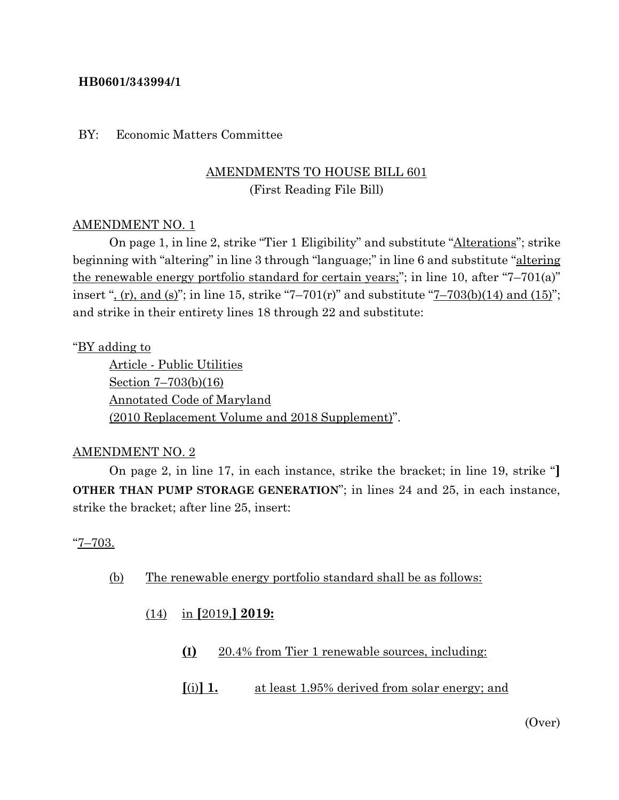#### **HB0601/343994/1**

#### BY: Economic Matters Committee

# AMENDMENTS TO HOUSE BILL 601 (First Reading File Bill)

#### AMENDMENT NO. 1

On page 1, in line 2, strike "Tier 1 Eligibility" and substitute "Alterations"; strike beginning with "altering" in line 3 through "language;" in line 6 and substitute "altering the renewable energy portfolio standard for certain years;"; in line 10, after "7–701(a)" insert ", (r), and (s)"; in line 15, strike "7–701(r)" and substitute "7–703(b)(14) and (15)"; and strike in their entirety lines 18 through 22 and substitute:

#### "BY adding to

Article - Public Utilities Section 7–703(b)(16) Annotated Code of Maryland (2010 Replacement Volume and 2018 Supplement)".

#### AMENDMENT NO. 2

On page 2, in line 17, in each instance, strike the bracket; in line 19, strike "**] OTHER THAN PUMP STORAGE GENERATION**"; in lines 24 and 25, in each instance, strike the bracket; after line 25, insert:

#### "7–703.

- (b) The renewable energy portfolio standard shall be as follows:
	- (14) in **[**2019,**] 2019:**
		- **(I)** 20.4% from Tier 1 renewable sources, including:
		- **[**(i)**] 1.** at least 1.95% derived from solar energy; and

(Over)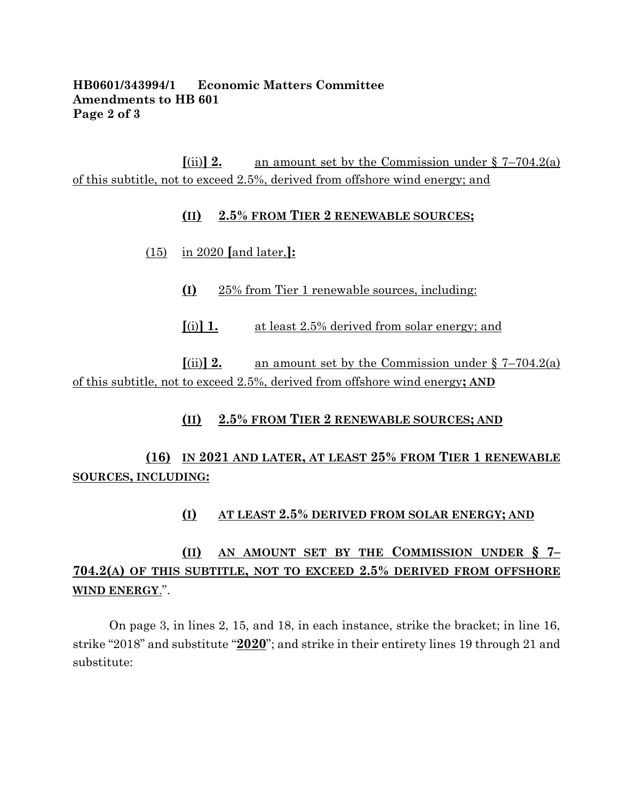#### **HB0601/343994/1 Economic Matters Committee Amendments to HB 601 Page 2 of 3**

 $\lbrack \text{(ii)} \rbrack$  **2.** an amount set by the Commission under § 7–704.2(a) of this subtitle, not to exceed 2.5%, derived from offshore wind energy; and

#### **(II) 2.5% FROM TIER 2 RENEWABLE SOURCES;**

- (15) in 2020 **[**and later,**]:**
	- **(I)** 25% from Tier 1 renewable sources, including:
	- **[**(i)**] 1.** at least 2.5% derived from solar energy; and

 $\lim_{x \to 0} 2$  an amount set by the Commission under § 7–704.2(a) of this subtitle, not to exceed 2.5%, derived from offshore wind energy**; AND**

## **(II) 2.5% FROM TIER 2 RENEWABLE SOURCES; AND**

# **(16) IN 2021 AND LATER, AT LEAST 25% FROM TIER 1 RENEWABLE SOURCES, INCLUDING:**

## **(I) AT LEAST 2.5% DERIVED FROM SOLAR ENERGY; AND**

# **(II) AN AMOUNT SET BY THE COMMISSION UNDER § 7– 704.2(A) OF THIS SUBTITLE, NOT TO EXCEED 2.5% DERIVED FROM OFFSHORE WIND ENERGY**.".

On page 3, in lines 2, 15, and 18, in each instance, strike the bracket; in line 16, strike "2018" and substitute "**2020**"; and strike in their entirety lines 19 through 21 and substitute: